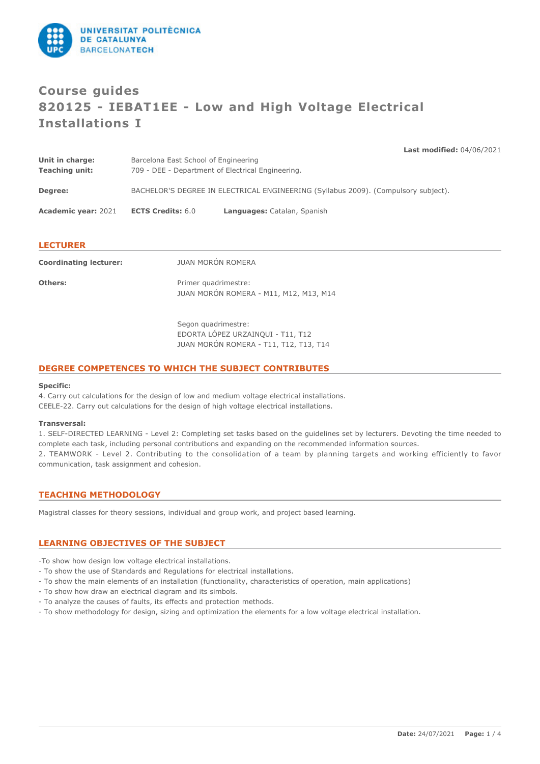

# **Course guides 820125 - IEBAT1EE - Low and High Voltage Electrical Installations I**

**Last modified:** 04/06/2021

| <b>Academic year: 2021</b>        | <b>ECTS Credits: 6.0</b>                                                                  | Languages: Catalan, Spanish                                                        |  |
|-----------------------------------|-------------------------------------------------------------------------------------------|------------------------------------------------------------------------------------|--|
| Degree:                           |                                                                                           | BACHELOR'S DEGREE IN ELECTRICAL ENGINEERING (Syllabus 2009). (Compulsory subject). |  |
| Unit in charge:<br>Teaching unit: | Barcelona East School of Engineering<br>709 - DEE - Department of Electrical Engineering. |                                                                                    |  |

#### **LECTURER**

| <b>Coordinating lecturer:</b> | JUAN MORÓN ROMERA                                                                                              |
|-------------------------------|----------------------------------------------------------------------------------------------------------------|
| <b>Others:</b>                | Primer quadrimestre:<br>JUAN MORÓN ROMERA - M11, M12, M13, M14                                                 |
|                               | Conservation delegation of the conservation of the conservation of the conservation of the conservation of the |

Segon quadrimestre: EDORTA LÓPEZ URZAINQUI - T11, T12 JUAN MORÓN ROMERA - T11, T12, T13, T14

#### **DEGREE COMPETENCES TO WHICH THE SUBJECT CONTRIBUTES**

#### **Specific:**

4. Carry out calculations for the design of low and medium voltage electrical installations. CEELE-22. Carry out calculations for the design of high voltage electrical installations.

#### **Transversal:**

1. SELF-DIRECTED LEARNING - Level 2: Completing set tasks based on the guidelines set by lecturers. Devoting the time needed to complete each task, including personal contributions and expanding on the recommended information sources.

2. TEAMWORK - Level 2. Contributing to the consolidation of a team by planning targets and working efficiently to favor communication, task assignment and cohesion.

## **TEACHING METHODOLOGY**

Magistral classes for theory sessions, individual and group work, and project based learning.

## **LEARNING OBJECTIVES OF THE SUBJECT**

-To show how design low voltage electrical installations.

- To show the use of Standards and Regulations for electrical installations.
- To show the main elements of an installation (functionality, characteristics of operation, main applications)
- To show how draw an electrical diagram and its simbols.
- To analyze the causes of faults, its effects and protection methods.
- To show methodology for design, sizing and optimization the elements for a low voltage electrical installation.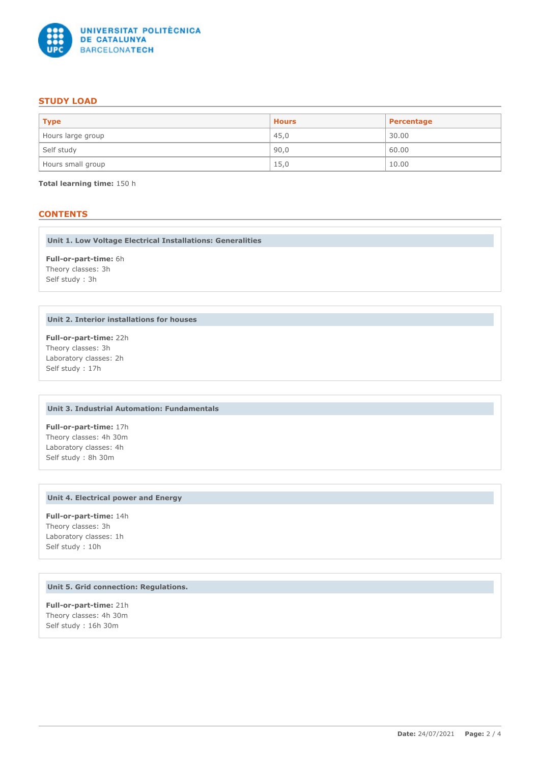

## **STUDY LOAD**

| <b>Type</b>       | <b>Hours</b> | Percentage |
|-------------------|--------------|------------|
| Hours large group | 45,0         | 30.00      |
| Self study        | 90,0         | 60.00      |
| Hours small group | 15,0         | 10.00      |

**Total learning time:** 150 h

## **CONTENTS**

**Unit 1. Low Voltage Electrical Installations: Generalities**

**Full-or-part-time:** 6h Theory classes: 3h Self study : 3h

## **Unit 2. Interior installations for houses**

**Full-or-part-time:** 22h Theory classes: 3h Laboratory classes: 2h Self study : 17h

## **Unit 3. Industrial Automation: Fundamentals**

**Full-or-part-time:** 17h Theory classes: 4h 30m Laboratory classes: 4h Self study : 8h 30m

#### **Unit 4. Electrical power and Energy**

**Full-or-part-time:** 14h Theory classes: 3h Laboratory classes: 1h Self study : 10h

## **Unit 5. Grid connection: Regulations.**

**Full-or-part-time:** 21h Theory classes: 4h 30m Self study : 16h 30m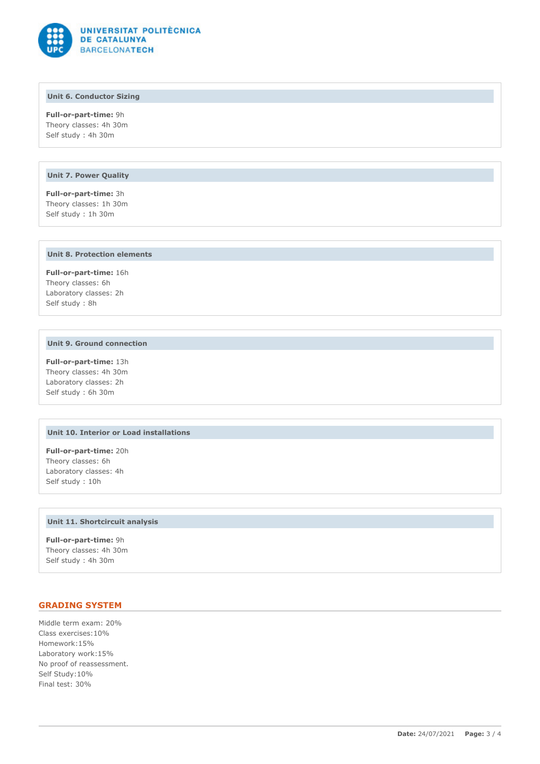

## **Unit 6. Conductor Sizing**

**Full-or-part-time:** 9h Theory classes: 4h 30m Self study : 4h 30m

#### **Unit 7. Power Quality**

**Full-or-part-time:** 3h Theory classes: 1h 30m Self study : 1h 30m

#### **Unit 8. Protection elements**

**Full-or-part-time:** 16h Theory classes: 6h Laboratory classes: 2h Self study : 8h

#### **Unit 9. Ground connection**

**Full-or-part-time:** 13h Theory classes: 4h 30m Laboratory classes: 2h Self study : 6h 30m

#### **Unit 10. Interior or Load installations**

**Full-or-part-time:** 20h Theory classes: 6h Laboratory classes: 4h Self study : 10h

#### **Unit 11. Shortcircuit analysis**

**Full-or-part-time:** 9h Theory classes: 4h 30m Self study : 4h 30m

## **GRADING SYSTEM**

Middle term exam: 20% Class exercises:10% Homework:15% Laboratory work:15% No proof of reassessment. Self Study:10% Final test: 30%